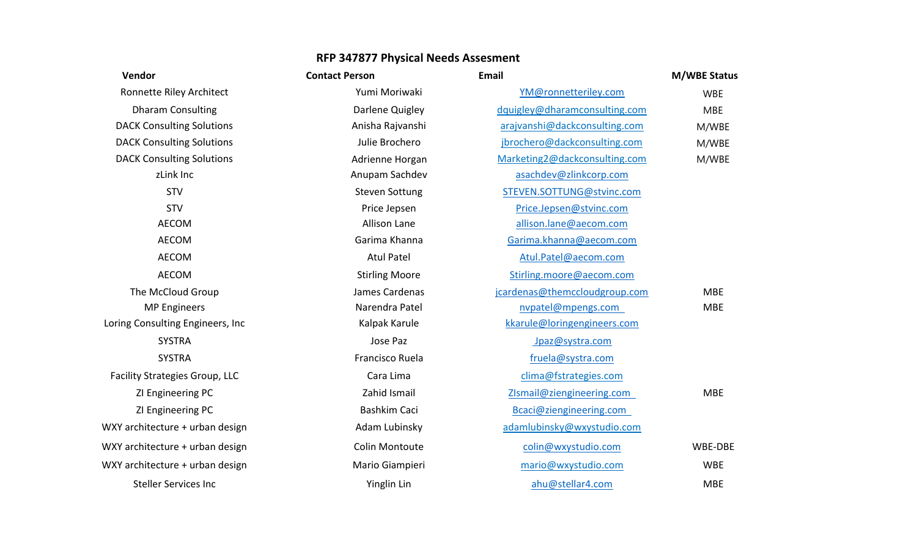| Vendor                                | <b>Contact Person</b> | <b>Email</b>                  | <b>M/WBE Status</b> |
|---------------------------------------|-----------------------|-------------------------------|---------------------|
| Ronnette Riley Architect              | Yumi Moriwaki         | YM@ronnetteriley.com          | <b>WBE</b>          |
| <b>Dharam Consulting</b>              | Darlene Quigley       | dquigley@dharamconsulting.com | <b>MBE</b>          |
| <b>DACK Consulting Solutions</b>      | Anisha Rajvanshi      | arajvanshi@dackconsulting.com | M/WBE               |
| <b>DACK Consulting Solutions</b>      | Julie Brochero        | jbrochero@dackconsulting.com  | M/WBE               |
| <b>DACK Consulting Solutions</b>      | Adrienne Horgan       | Marketing2@dackconsulting.com | M/WBE               |
| zLink Inc                             | Anupam Sachdev        | asachdev@zlinkcorp.com        |                     |
| <b>STV</b>                            | <b>Steven Sottung</b> | STEVEN.SOTTUNG@stvinc.com     |                     |
| <b>STV</b>                            | Price Jepsen          | Price.Jepsen@stvinc.com       |                     |
| <b>AECOM</b>                          | <b>Allison Lane</b>   | allison.lane@aecom.com        |                     |
| <b>AECOM</b>                          | Garima Khanna         | Garima.khanna@aecom.com       |                     |
| <b>AECOM</b>                          | <b>Atul Patel</b>     | Atul.Patel@aecom.com          |                     |
| <b>AECOM</b>                          | <b>Stirling Moore</b> | Stirling.moore@aecom.com      |                     |
| The McCloud Group                     | James Cardenas        | jcardenas@themccloudgroup.com | <b>MBE</b>          |
| <b>MP Engineers</b>                   | Narendra Patel        | nvpatel@mpengs.com            | <b>MBE</b>          |
| Loring Consulting Engineers, Inc.     | Kalpak Karule         | kkarule@loringengineers.com   |                     |
| <b>SYSTRA</b>                         | Jose Paz              | Jpaz@systra.com               |                     |
| <b>SYSTRA</b>                         | Francisco Ruela       | fruela@systra.com             |                     |
| <b>Facility Strategies Group, LLC</b> | Cara Lima             | clima@fstrategies.com         |                     |
| ZI Engineering PC                     | Zahid Ismail          | ZIsmail@ziengineering.com     | <b>MBE</b>          |
| ZI Engineering PC                     | Bashkim Caci          | Bcaci@ziengineering.com       |                     |
| WXY architecture + urban design       | Adam Lubinsky         | adamlubinsky@wxystudio.com    |                     |
| WXY architecture + urban design       | <b>Colin Montoute</b> | colin@wxystudio.com           | WBE-DBE             |
| WXY architecture + urban design       | Mario Giampieri       | mario@wxystudio.com           | <b>WBE</b>          |
| <b>Steller Services Inc</b>           | Yinglin Lin           | ahu@stellar4.com              | <b>MBE</b>          |
|                                       |                       |                               |                     |

## **RFP 347877 Physical Needs Assesment**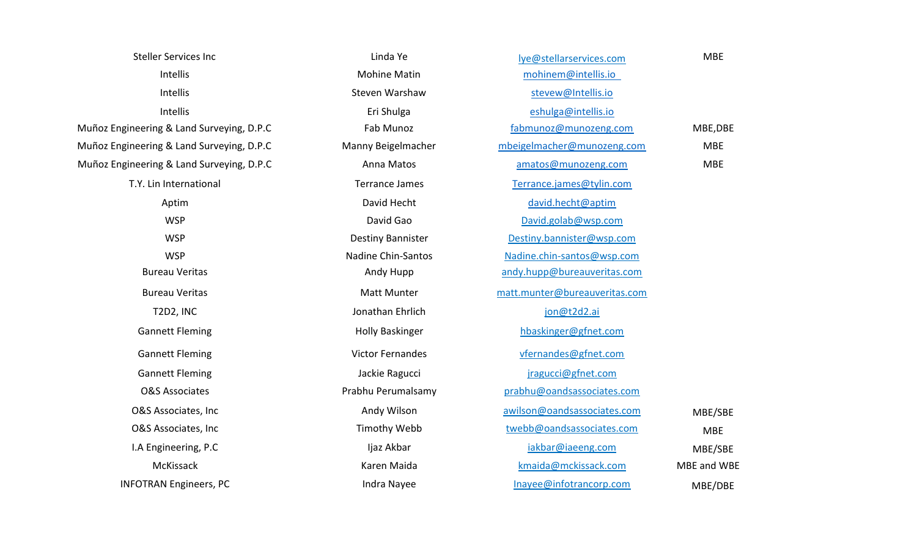| <b>Steller Services Inc</b>               | Linda Ye                  | lye@stellarservices.com       | <b>MBE</b>  |
|-------------------------------------------|---------------------------|-------------------------------|-------------|
| Intellis                                  | <b>Mohine Matin</b>       | mohinem@intellis.io           |             |
| Intellis                                  | Steven Warshaw            | stevew@Intellis.io            |             |
| Intellis                                  | Eri Shulga                | eshulga@intellis.io           |             |
| Muñoz Engineering & Land Surveying, D.P.C | Fab Munoz                 | fabmunoz@munozeng.com         | MBE, DBE    |
| Muñoz Engineering & Land Surveying, D.P.C | Manny Beigelmacher        | mbeigelmacher@munozeng.com    | <b>MBE</b>  |
| Muñoz Engineering & Land Surveying, D.P.C | Anna Matos                | amatos@munozeng.com           | <b>MBE</b>  |
| T.Y. Lin International                    | <b>Terrance James</b>     | Terrance.james@tylin.com      |             |
| Aptim                                     | David Hecht               | david.hecht@aptim             |             |
| <b>WSP</b>                                | David Gao                 | David.golab@wsp.com           |             |
| <b>WSP</b>                                | <b>Destiny Bannister</b>  | Destiny.bannister@wsp.com     |             |
| <b>WSP</b>                                | <b>Nadine Chin-Santos</b> | Nadine.chin-santos@wsp.com    |             |
| <b>Bureau Veritas</b>                     | Andy Hupp                 | andy.hupp@bureauveritas.com   |             |
| <b>Bureau Veritas</b>                     | <b>Matt Munter</b>        | matt.munter@bureauveritas.com |             |
| T2D2, INC                                 | Jonathan Ehrlich          | jon@t2d2.ai                   |             |
| <b>Gannett Fleming</b>                    | <b>Holly Baskinger</b>    | hbaskinger@gfnet.com          |             |
| <b>Gannett Fleming</b>                    | <b>Victor Fernandes</b>   | vfernandes@gfnet.com          |             |
| <b>Gannett Fleming</b>                    | Jackie Ragucci            | jragucci@gfnet.com            |             |
| <b>O&amp;S Associates</b>                 | Prabhu Perumalsamy        | prabhu@oandsassociates.com    |             |
| O&S Associates, Inc                       | Andy Wilson               | awilson@oandsassociates.com   | MBE/SBE     |
| O&S Associates, Inc                       | <b>Timothy Webb</b>       | twebb@oandsassociates.com     | <b>MBE</b>  |
| I.A Engineering, P.C                      | Ijaz Akbar                | iakbar@iaeeng.com             | MBE/SBE     |
| McKissack                                 | Karen Maida               | kmaida@mckissack.com          | MBE and WBE |
| <b>INFOTRAN Engineers, PC</b>             | Indra Nayee               | Inayee@infotrancorp.com       | MBE/DBE     |